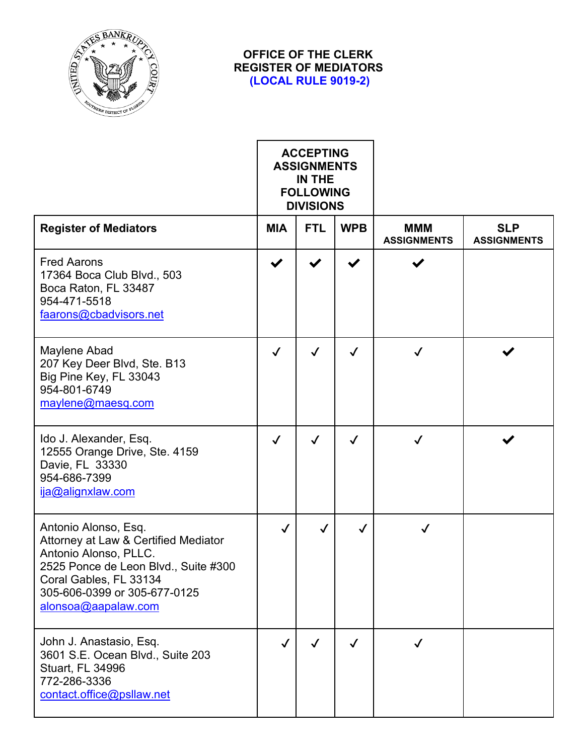

## **OFFICE OF THE CLERK REGISTER OF MEDIATORS (LOCAL RULE 9019-2)**

|                                                                                                                                                                                                                | <b>ACCEPTING</b><br><b>ASSIGNMENTS</b><br>IN THE<br><b>FOLLOWING</b><br><b>DIVISIONS</b> |              |              |                                  |                                  |
|----------------------------------------------------------------------------------------------------------------------------------------------------------------------------------------------------------------|------------------------------------------------------------------------------------------|--------------|--------------|----------------------------------|----------------------------------|
| <b>Register of Mediators</b>                                                                                                                                                                                   | <b>MIA</b>                                                                               | <b>FTL</b>   | <b>WPB</b>   | <b>MMM</b><br><b>ASSIGNMENTS</b> | <b>SLP</b><br><b>ASSIGNMENTS</b> |
| <b>Fred Aarons</b><br>17364 Boca Club Blvd., 503<br>Boca Raton, FL 33487<br>954-471-5518<br>faarons@cbadvisors.net                                                                                             | ✔                                                                                        |              |              |                                  |                                  |
| Maylene Abad<br>207 Key Deer Blvd, Ste. B13<br>Big Pine Key, FL 33043<br>954-801-6749<br>maylene@maesq.com                                                                                                     | $\checkmark$                                                                             | $\checkmark$ | $\checkmark$ |                                  |                                  |
| Ido J. Alexander, Esq.<br>12555 Orange Drive, Ste. 4159<br>Davie, FL 33330<br>954-686-7399<br>ija@alignxlaw.com                                                                                                | $\checkmark$                                                                             | $\checkmark$ | $\checkmark$ | $\checkmark$                     |                                  |
| Antonio Alonso, Esq.<br>Attorney at Law & Certified Mediator<br>Antonio Alonso, PLLC.<br>2525 Ponce de Leon Blvd., Suite #300<br>Coral Gables, FL 33134<br>305-606-0399 or 305-677-0125<br>alonsoa@aapalaw.com | $\checkmark$                                                                             | $\checkmark$ |              | ✓                                |                                  |
| John J. Anastasio, Esq.<br>3601 S.E. Ocean Blvd., Suite 203<br><b>Stuart, FL 34996</b><br>772-286-3336<br>contact.office@psllaw.net                                                                            | $\checkmark$                                                                             | $\checkmark$ | $\checkmark$ | $\checkmark$                     |                                  |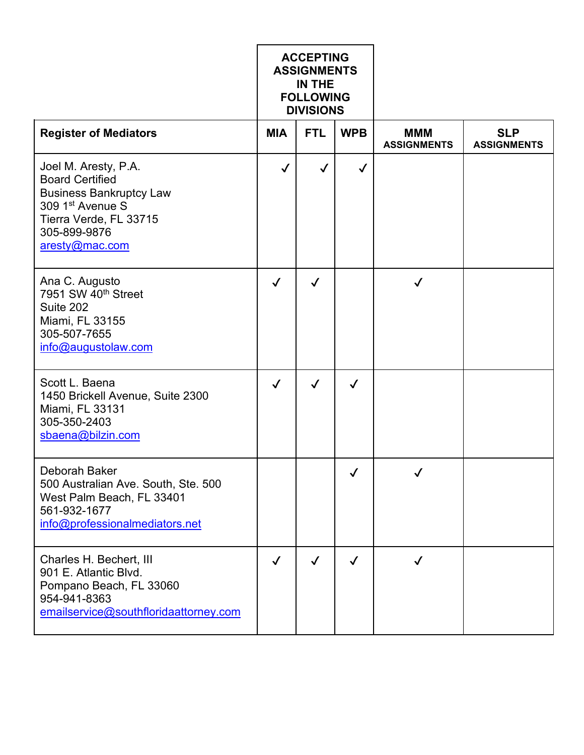|                                                                                                                                                                              | <b>ACCEPTING</b><br><b>ASSIGNMENTS</b><br>IN THE<br><b>FOLLOWING</b><br><b>DIVISIONS</b> |              |              |                                  |                                  |
|------------------------------------------------------------------------------------------------------------------------------------------------------------------------------|------------------------------------------------------------------------------------------|--------------|--------------|----------------------------------|----------------------------------|
| <b>Register of Mediators</b>                                                                                                                                                 | <b>MIA</b>                                                                               | <b>FTL</b>   | <b>WPB</b>   | <b>MMM</b><br><b>ASSIGNMENTS</b> | <b>SLP</b><br><b>ASSIGNMENTS</b> |
| Joel M. Aresty, P.A.<br><b>Board Certified</b><br><b>Business Bankruptcy Law</b><br>309 1 <sup>st</sup> Avenue S<br>Tierra Verde, FL 33715<br>305-899-9876<br>aresty@mac.com | $\checkmark$                                                                             | $\checkmark$ | $\checkmark$ |                                  |                                  |
| Ana C. Augusto<br>7951 SW 40 <sup>th</sup> Street<br>Suite 202<br>Miami, FL 33155<br>305-507-7655<br>info@augustolaw.com                                                     | $\checkmark$                                                                             | $\checkmark$ |              | $\checkmark$                     |                                  |
| Scott L. Baena<br>1450 Brickell Avenue, Suite 2300<br>Miami, FL 33131<br>305-350-2403<br>sbaena@bilzin.com                                                                   | $\checkmark$                                                                             | ✓            | $\checkmark$ |                                  |                                  |
| Deborah Baker<br>500 Australian Ave. South, Ste. 500<br>West Palm Beach, FL 33401<br>561-932-1677<br>info@professionalmediators.net                                          |                                                                                          |              | $\checkmark$ | $\checkmark$                     |                                  |
| Charles H. Bechert, III<br>901 E. Atlantic Blvd.<br>Pompano Beach, FL 33060<br>954-941-8363<br>emailservice@southfloridaattorney.com                                         | $\checkmark$                                                                             | $\checkmark$ | $\checkmark$ | √                                |                                  |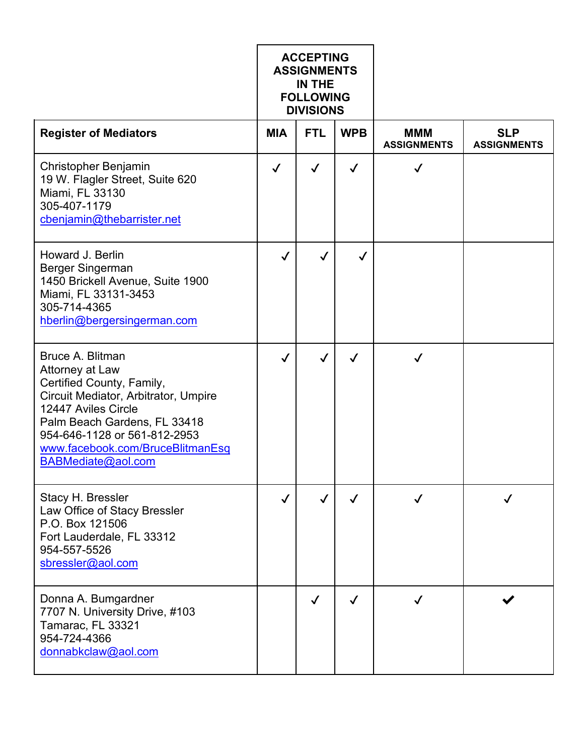|                                                                                                                                                                                                                                                           | <b>ACCEPTING</b><br><b>ASSIGNMENTS</b><br>IN THE<br><b>FOLLOWING</b><br><b>DIVISIONS</b> |              |              |                                  |                                  |
|-----------------------------------------------------------------------------------------------------------------------------------------------------------------------------------------------------------------------------------------------------------|------------------------------------------------------------------------------------------|--------------|--------------|----------------------------------|----------------------------------|
| <b>Register of Mediators</b>                                                                                                                                                                                                                              | <b>MIA</b>                                                                               | <b>FTL</b>   | <b>WPB</b>   | <b>MMM</b><br><b>ASSIGNMENTS</b> | <b>SLP</b><br><b>ASSIGNMENTS</b> |
| <b>Christopher Benjamin</b><br>19 W. Flagler Street, Suite 620<br>Miami, FL 33130<br>305-407-1179<br>cbenjamin@thebarrister.net                                                                                                                           | $\checkmark$                                                                             | $\checkmark$ | $\checkmark$ | ✓                                |                                  |
| Howard J. Berlin<br>Berger Singerman<br>1450 Brickell Avenue, Suite 1900<br>Miami, FL 33131-3453<br>305-714-4365<br>hberlin@bergersingerman.com                                                                                                           | $\checkmark$                                                                             | $\checkmark$ | ✓            |                                  |                                  |
| Bruce A. Blitman<br>Attorney at Law<br>Certified County, Family,<br>Circuit Mediator, Arbitrator, Umpire<br>12447 Aviles Circle<br>Palm Beach Gardens, FL 33418<br>954-646-1128 or 561-812-2953<br>www.facebook.com/BruceBlitmanEsq<br>BABMediate@aol.com | $\checkmark$                                                                             | $\checkmark$ | $\checkmark$ | $\checkmark$                     |                                  |
| Stacy H. Bressler<br>Law Office of Stacy Bressler<br>P.O. Box 121506<br>Fort Lauderdale, FL 33312<br>954-557-5526<br>sbressler@aol.com                                                                                                                    | J                                                                                        | ✓            | $\checkmark$ | ✓                                |                                  |
| Donna A. Bumgardner<br>7707 N. University Drive, #103<br>Tamarac, FL 33321<br>954-724-4366<br>donnabkclaw@aol.com                                                                                                                                         |                                                                                          | ✓            | ✓            |                                  |                                  |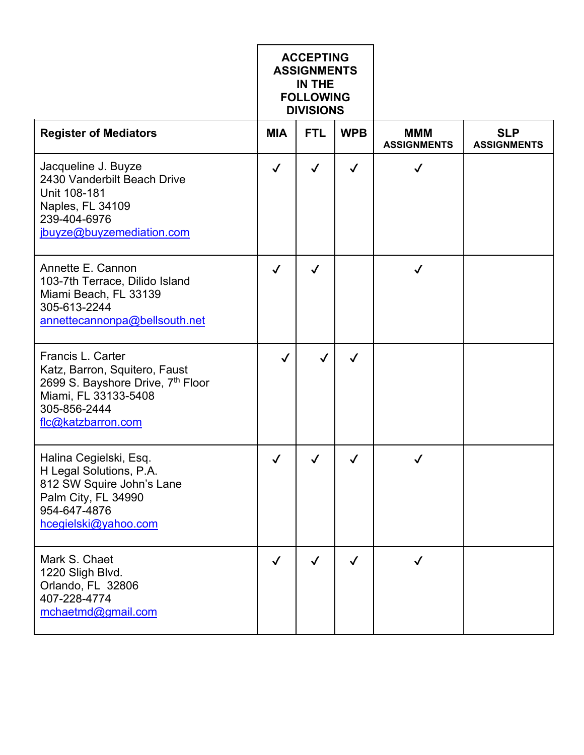|                                                                                                                                                       | <b>ACCEPTING</b><br><b>ASSIGNMENTS</b><br>IN THE<br><b>FOLLOWING</b><br><b>DIVISIONS</b> |              |              |                                  |                                  |
|-------------------------------------------------------------------------------------------------------------------------------------------------------|------------------------------------------------------------------------------------------|--------------|--------------|----------------------------------|----------------------------------|
| <b>Register of Mediators</b>                                                                                                                          | <b>MIA</b>                                                                               | <b>FTL</b>   | <b>WPB</b>   | <b>MMM</b><br><b>ASSIGNMENTS</b> | <b>SLP</b><br><b>ASSIGNMENTS</b> |
| Jacqueline J. Buyze<br>2430 Vanderbilt Beach Drive<br>Unit 108-181<br>Naples, FL 34109<br>239-404-6976<br>jbuyze@buyzemediation.com                   | $\checkmark$                                                                             | $\checkmark$ | $\checkmark$ | ✓                                |                                  |
| Annette E. Cannon<br>103-7th Terrace, Dilido Island<br>Miami Beach, FL 33139<br>305-613-2244<br>annettecannonpa@bellsouth.net                         | $\checkmark$                                                                             | $\checkmark$ |              | ✓                                |                                  |
| Francis L. Carter<br>Katz, Barron, Squitero, Faust<br>2699 S. Bayshore Drive, 7th Floor<br>Miami, FL 33133-5408<br>305-856-2444<br>flc@katzbarron.com | $\checkmark$                                                                             | $\checkmark$ | $\checkmark$ |                                  |                                  |
| Halina Cegielski, Esq.<br>H Legal Solutions, P.A.<br>812 SW Squire John's Lane<br>Palm City, FL 34990<br>954-647-4876<br>hcegielski@yahoo.com         | $\checkmark$                                                                             | ✓            | $\checkmark$ | ✓                                |                                  |
| Mark S. Chaet<br>1220 Sligh Blvd.<br>Orlando, FL 32806<br>407-228-4774<br>mchaetmd@gmail.com                                                          | $\checkmark$                                                                             | $\checkmark$ | $\checkmark$ |                                  |                                  |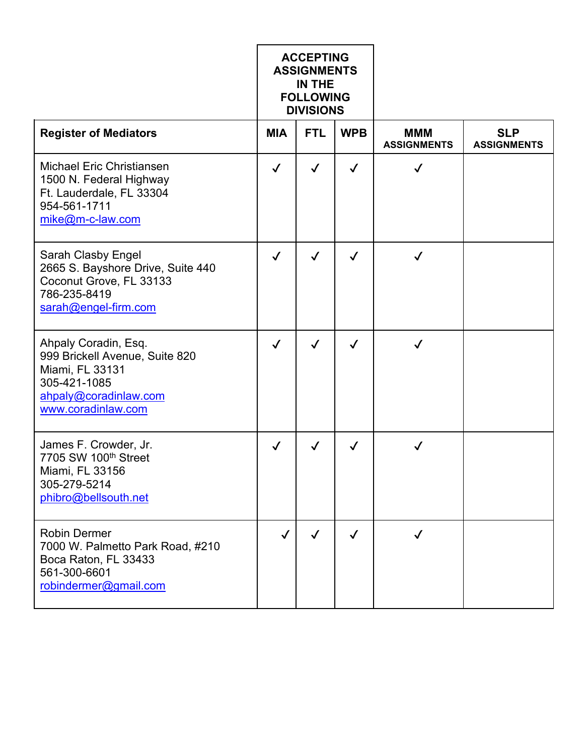|                                                                                                                                          | <b>ACCEPTING</b><br><b>ASSIGNMENTS</b><br>IN THE<br><b>FOLLOWING</b><br><b>DIVISIONS</b> |              |              |                                  |                                  |
|------------------------------------------------------------------------------------------------------------------------------------------|------------------------------------------------------------------------------------------|--------------|--------------|----------------------------------|----------------------------------|
| <b>Register of Mediators</b>                                                                                                             | <b>MIA</b>                                                                               | <b>FTL</b>   | <b>WPB</b>   | <b>MMM</b><br><b>ASSIGNMENTS</b> | <b>SLP</b><br><b>ASSIGNMENTS</b> |
| <b>Michael Eric Christiansen</b><br>1500 N. Federal Highway<br>Ft. Lauderdale, FL 33304<br>954-561-1711<br>mike@m-c-law.com              | $\checkmark$                                                                             | $\checkmark$ | $\checkmark$ | $\checkmark$                     |                                  |
| <b>Sarah Clasby Engel</b><br>2665 S. Bayshore Drive, Suite 440<br>Coconut Grove, FL 33133<br>786-235-8419<br>sarah@engel-firm.com        | $\checkmark$                                                                             | $\checkmark$ | $\checkmark$ | ✓                                |                                  |
| Ahpaly Coradin, Esq.<br>999 Brickell Avenue, Suite 820<br>Miami, FL 33131<br>305-421-1085<br>ahpaly@coradinlaw.com<br>www.coradinlaw.com | $\checkmark$                                                                             | ✓            | $\checkmark$ | $\checkmark$                     |                                  |
| James F. Crowder, Jr.<br>7705 SW 100th Street<br>Miami, FL 33156<br>305-279-5214<br>phibro@bellsouth.net                                 | $\checkmark$                                                                             | ✓            | ✓            | ✓                                |                                  |
| <b>Robin Dermer</b><br>7000 W. Palmetto Park Road, #210<br>Boca Raton, FL 33433<br>561-300-6601<br>robindermer@gmail.com                 | $\checkmark$                                                                             | $\checkmark$ | $\checkmark$ | $\checkmark$                     |                                  |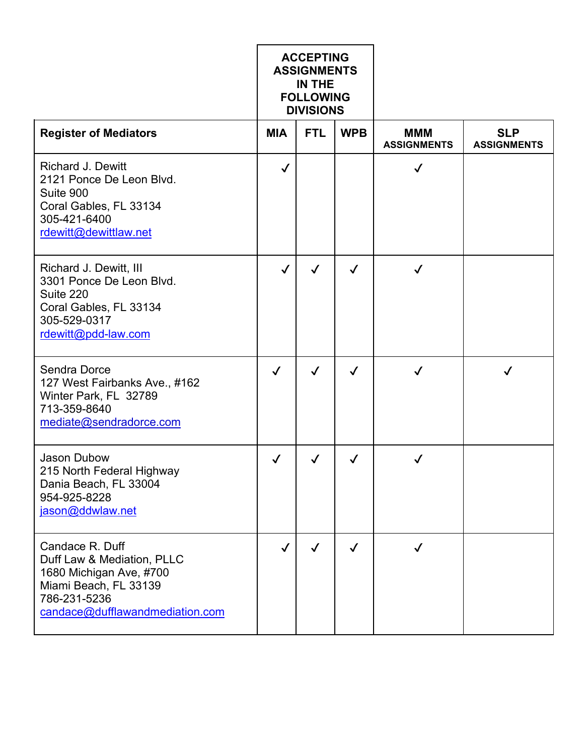|                                                                                                                                                      | <b>ACCEPTING</b><br><b>ASSIGNMENTS</b><br>IN THE<br><b>FOLLOWING</b><br><b>DIVISIONS</b> |              |              |                                  |                                  |
|------------------------------------------------------------------------------------------------------------------------------------------------------|------------------------------------------------------------------------------------------|--------------|--------------|----------------------------------|----------------------------------|
| <b>Register of Mediators</b>                                                                                                                         | <b>MIA</b>                                                                               | <b>FTL</b>   | <b>WPB</b>   | <b>MMM</b><br><b>ASSIGNMENTS</b> | <b>SLP</b><br><b>ASSIGNMENTS</b> |
| <b>Richard J. Dewitt</b><br>2121 Ponce De Leon Blvd.<br>Suite 900<br>Coral Gables, FL 33134<br>305-421-6400<br>rdewitt@dewittlaw.net                 | $\checkmark$                                                                             |              |              | $\checkmark$                     |                                  |
| Richard J. Dewitt, III<br>3301 Ponce De Leon Blvd.<br>Suite 220<br>Coral Gables, FL 33134<br>305-529-0317<br>rdewitt@pdd-law.com                     | $\checkmark$                                                                             | $\checkmark$ | $\checkmark$ | $\checkmark$                     |                                  |
| <b>Sendra Dorce</b><br>127 West Fairbanks Ave., #162<br>Winter Park, FL 32789<br>713-359-8640<br>mediate@sendradorce.com                             | $\checkmark$                                                                             | $\checkmark$ | $\checkmark$ | $\checkmark$                     | ✓                                |
| <b>Jason Dubow</b><br>215 North Federal Highway<br>Dania Beach, FL 33004<br>954-925-8228<br>jason@ddwlaw.net                                         | $\checkmark$                                                                             | $\checkmark$ | $\checkmark$ | $\checkmark$                     |                                  |
| Candace R. Duff<br>Duff Law & Mediation, PLLC<br>1680 Michigan Ave, #700<br>Miami Beach, FL 33139<br>786-231-5236<br>candace@dufflawandmediation.com | $\checkmark$                                                                             | $\checkmark$ | $\checkmark$ | $\checkmark$                     |                                  |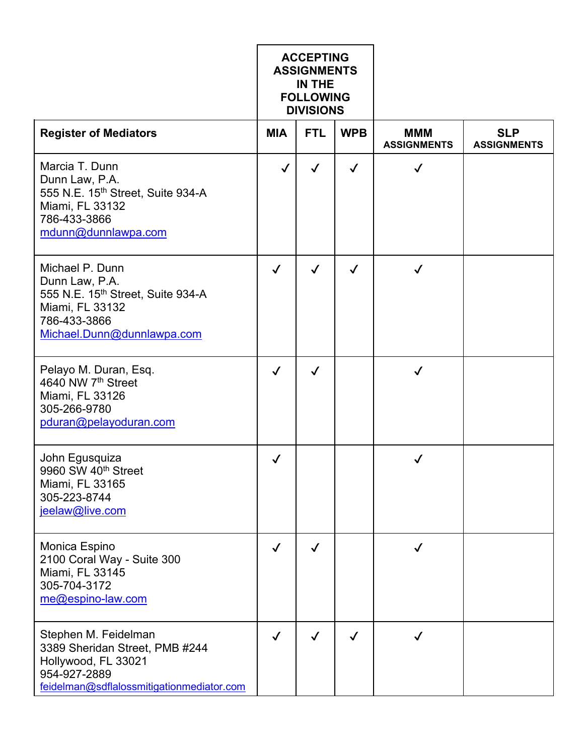|                                                                                                                                            | <b>ACCEPTING</b><br><b>ASSIGNMENTS</b><br>IN THE<br><b>FOLLOWING</b><br><b>DIVISIONS</b> |              |              |                                  |                                  |
|--------------------------------------------------------------------------------------------------------------------------------------------|------------------------------------------------------------------------------------------|--------------|--------------|----------------------------------|----------------------------------|
| <b>Register of Mediators</b>                                                                                                               | <b>MIA</b>                                                                               | <b>FTL</b>   | <b>WPB</b>   | <b>MMM</b><br><b>ASSIGNMENTS</b> | <b>SLP</b><br><b>ASSIGNMENTS</b> |
| Marcia T. Dunn<br>Dunn Law, P.A.<br>555 N.E. 15th Street, Suite 934-A<br>Miami, FL 33132<br>786-433-3866<br>mdunn@dunnlawpa.com            | $\checkmark$                                                                             | $\checkmark$ | $\checkmark$ | $\checkmark$                     |                                  |
| Michael P. Dunn<br>Dunn Law, P.A.<br>555 N.E. 15th Street, Suite 934-A<br>Miami, FL 33132<br>786-433-3866<br>Michael.Dunn@dunnlawpa.com    | $\checkmark$                                                                             | $\checkmark$ | $\checkmark$ | ✓                                |                                  |
| Pelayo M. Duran, Esq.<br>4640 NW 7th Street<br>Miami, FL 33126<br>305-266-9780<br>pduran@pelayoduran.com                                   | $\checkmark$                                                                             | $\checkmark$ |              | $\checkmark$                     |                                  |
| John Egusquiza<br>9960 SW 40th Street<br>Miami, FL 33165<br>305-223-8744<br>jeelaw@live.com                                                | $\checkmark$                                                                             |              |              | $\checkmark$                     |                                  |
| Monica Espino<br>2100 Coral Way - Suite 300<br>Miami, FL 33145<br>305-704-3172<br>me@espino-law.com                                        | $\checkmark$                                                                             | ✓            |              |                                  |                                  |
| Stephen M. Feidelman<br>3389 Sheridan Street, PMB #244<br>Hollywood, FL 33021<br>954-927-2889<br>feidelman@sdflalossmitigationmediator.com | $\checkmark$                                                                             | $\checkmark$ | $\checkmark$ | $\checkmark$                     |                                  |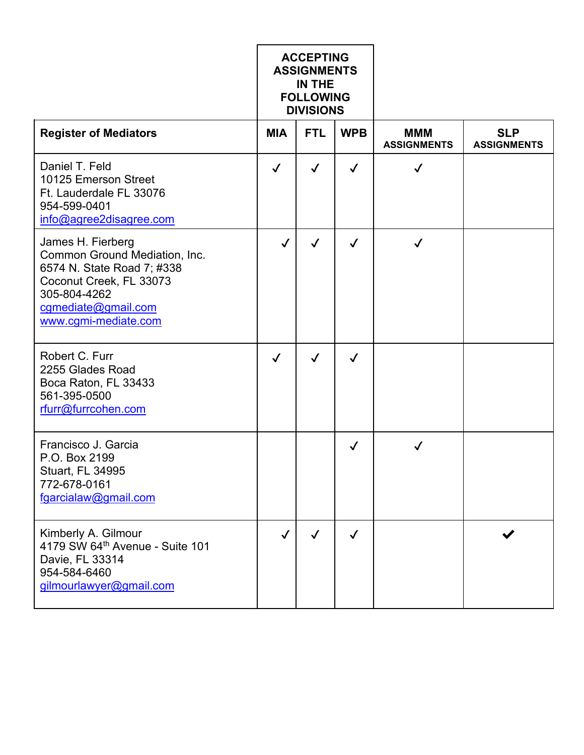|                                                                                                                                                                            | <b>ACCEPTING</b><br><b>ASSIGNMENTS</b><br>IN THE<br><b>FOLLOWING</b><br><b>DIVISIONS</b> |              |              |                                  |                                  |
|----------------------------------------------------------------------------------------------------------------------------------------------------------------------------|------------------------------------------------------------------------------------------|--------------|--------------|----------------------------------|----------------------------------|
| <b>Register of Mediators</b>                                                                                                                                               | <b>MIA</b>                                                                               | <b>FTL</b>   | <b>WPB</b>   | <b>MMM</b><br><b>ASSIGNMENTS</b> | <b>SLP</b><br><b>ASSIGNMENTS</b> |
| Daniel T. Feld<br>10125 Emerson Street<br>Ft. Lauderdale FL 33076<br>954-599-0401<br>info@agree2disagree.com                                                               | $\checkmark$                                                                             | $\checkmark$ | $\checkmark$ | $\checkmark$                     |                                  |
| James H. Fierberg<br>Common Ground Mediation, Inc.<br>6574 N. State Road 7; #338<br>Coconut Creek, FL 33073<br>305-804-4262<br>cgmediate@gmail.com<br>www.cgmi-mediate.com | $\checkmark$                                                                             | $\checkmark$ | $\checkmark$ | $\checkmark$                     |                                  |
| Robert C. Furr<br>2255 Glades Road<br>Boca Raton, FL 33433<br>561-395-0500<br>rfurr@furrcohen.com                                                                          | $\checkmark$                                                                             | $\checkmark$ | $\checkmark$ |                                  |                                  |
| Francisco J. Garcia<br>P.O. Box 2199<br>Stuart, FL 34995<br>772-678-0161<br>fgarcialaw@gmail.com                                                                           |                                                                                          |              | $\checkmark$ | ✓                                |                                  |
| Kimberly A. Gilmour<br>4179 SW 64th Avenue - Suite 101<br>Davie, FL 33314<br>954-584-6460<br>gilmourlawyer@gmail.com                                                       | $\checkmark$                                                                             | $\checkmark$ | $\checkmark$ |                                  |                                  |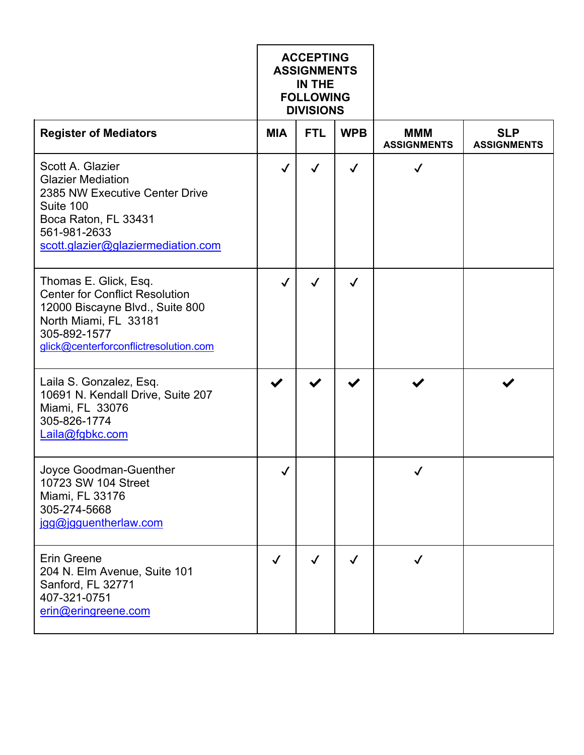|                                                                                                                                                                                     | <b>ACCEPTING</b><br><b>ASSIGNMENTS</b><br>IN THE<br><b>FOLLOWING</b><br><b>DIVISIONS</b> |              |              |                                  |                                  |
|-------------------------------------------------------------------------------------------------------------------------------------------------------------------------------------|------------------------------------------------------------------------------------------|--------------|--------------|----------------------------------|----------------------------------|
| <b>Register of Mediators</b>                                                                                                                                                        | <b>MIA</b>                                                                               | <b>FTL</b>   | <b>WPB</b>   | <b>MMM</b><br><b>ASSIGNMENTS</b> | <b>SLP</b><br><b>ASSIGNMENTS</b> |
| Scott A. Glazier<br><b>Glazier Mediation</b><br>2385 NW Executive Center Drive<br>Suite 100<br>Boca Raton, FL 33431<br>561-981-2633<br>scott.glazier@glaziermediation.com           | $\checkmark$                                                                             | $\checkmark$ | $\checkmark$ | $\checkmark$                     |                                  |
| Thomas E. Glick, Esq.<br><b>Center for Conflict Resolution</b><br>12000 Biscayne Blvd., Suite 800<br>North Miami, FL 33181<br>305-892-1577<br>glick@centerforconflictresolution.com | $\checkmark$                                                                             | ✓            | $\checkmark$ |                                  |                                  |
| Laila S. Gonzalez, Esq.<br>10691 N. Kendall Drive, Suite 207<br>Miami, FL 33076<br>305-826-1774<br>Laila@fgbkc.com                                                                  |                                                                                          | ✔            |              |                                  |                                  |
| Joyce Goodman-Guenther<br>10723 SW 104 Street<br>Miami, FL 33176<br>305-274-5668<br>jgg@jgguentherlaw.com                                                                           | ı                                                                                        |              |              | $\boldsymbol{I}$                 |                                  |
| <b>Erin Greene</b><br>204 N. Elm Avenue, Suite 101<br>Sanford, FL 32771<br>407-321-0751<br>erin@eringreene.com                                                                      | $\checkmark$                                                                             | $\checkmark$ | $\checkmark$ | ✓                                |                                  |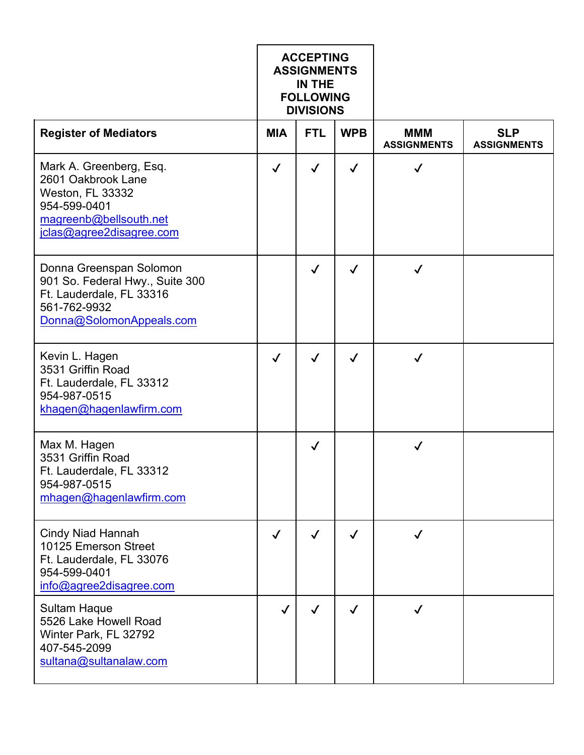|                                                                                                                                         | <b>ACCEPTING</b><br><b>ASSIGNMENTS</b><br>IN THE<br><b>FOLLOWING</b><br><b>DIVISIONS</b> |              |              |                                  |                                  |
|-----------------------------------------------------------------------------------------------------------------------------------------|------------------------------------------------------------------------------------------|--------------|--------------|----------------------------------|----------------------------------|
| <b>Register of Mediators</b>                                                                                                            | <b>MIA</b>                                                                               | <b>FTL</b>   | <b>WPB</b>   | <b>MMM</b><br><b>ASSIGNMENTS</b> | <b>SLP</b><br><b>ASSIGNMENTS</b> |
| Mark A. Greenberg, Esq.<br>2601 Oakbrook Lane<br>Weston, FL 33332<br>954-599-0401<br>magreenb@bellsouth.net<br>jclas@agree2disagree.com | $\checkmark$                                                                             | $\checkmark$ | $\checkmark$ | $\checkmark$                     |                                  |
| Donna Greenspan Solomon<br>901 So. Federal Hwy., Suite 300<br>Ft. Lauderdale, FL 33316<br>561-762-9932<br>Donna@SolomonAppeals.com      |                                                                                          | $\checkmark$ | $\checkmark$ | ✓                                |                                  |
| Kevin L. Hagen<br>3531 Griffin Road<br>Ft. Lauderdale, FL 33312<br>954-987-0515<br>khagen@hagenlawfirm.com                              | $\checkmark$                                                                             | $\checkmark$ | $\checkmark$ | $\checkmark$                     |                                  |
| Max M. Hagen<br>3531 Griffin Road<br>Ft. Lauderdale, FL 33312<br>954-987-0515<br>mhagen@hagenlawfirm.com                                |                                                                                          | ✓            |              | ✓                                |                                  |
| <b>Cindy Niad Hannah</b><br>10125 Emerson Street<br>Ft. Lauderdale, FL 33076<br>954-599-0401<br>info@agree2disagree.com                 | $\checkmark$                                                                             | $\checkmark$ | $\checkmark$ | $\checkmark$                     |                                  |
| <b>Sultam Haque</b><br>5526 Lake Howell Road<br>Winter Park, FL 32792<br>407-545-2099<br>sultana@sultanalaw.com                         | $\checkmark$                                                                             | ✓            | $\checkmark$ | $\checkmark$                     |                                  |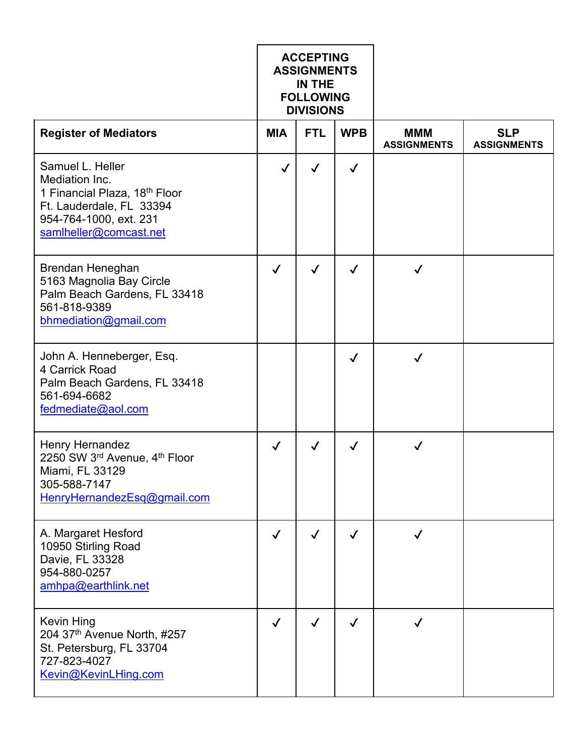|                                                                                                                                                                 | <b>ACCEPTING</b><br><b>ASSIGNMENTS</b><br>IN THE<br><b>FOLLOWING</b><br><b>DIVISIONS</b> |              |              |                                  |                                  |
|-----------------------------------------------------------------------------------------------------------------------------------------------------------------|------------------------------------------------------------------------------------------|--------------|--------------|----------------------------------|----------------------------------|
| <b>Register of Mediators</b>                                                                                                                                    | <b>MIA</b>                                                                               | <b>FTL</b>   | <b>WPB</b>   | <b>MMM</b><br><b>ASSIGNMENTS</b> | <b>SLP</b><br><b>ASSIGNMENTS</b> |
| Samuel L. Heller<br>Mediation Inc.<br>1 Financial Plaza, 18 <sup>th</sup> Floor<br>Ft. Lauderdale, FL 33394<br>954-764-1000, ext. 231<br>samlheller@comcast.net | $\checkmark$                                                                             | $\checkmark$ | $\checkmark$ |                                  |                                  |
| Brendan Heneghan<br>5163 Magnolia Bay Circle<br>Palm Beach Gardens, FL 33418<br>561-818-9389<br>bhmediation@gmail.com                                           | $\checkmark$                                                                             | $\checkmark$ | $\checkmark$ |                                  |                                  |
| John A. Henneberger, Esq.<br>4 Carrick Road<br>Palm Beach Gardens, FL 33418<br>561-694-6682<br>fedmediate@aol.com                                               |                                                                                          |              | $\checkmark$ | $\checkmark$                     |                                  |
| Henry Hernandez<br>2250 SW 3rd Avenue, 4th Floor<br>Miami, FL 33129<br>305-588-7147<br>HenryHernandezEsq@gmail.com                                              | $\checkmark$                                                                             | $\checkmark$ | ✓            | ✓                                |                                  |
| A. Margaret Hesford<br>10950 Stirling Road<br>Davie, FL 33328<br>954-880-0257<br>amhpa@earthlink.net                                                            | $\checkmark$                                                                             | $\checkmark$ | $\checkmark$ | $\checkmark$                     |                                  |
| <b>Kevin Hing</b><br>204 37th Avenue North, #257<br>St. Petersburg, FL 33704<br>727-823-4027<br>Kevin@KevinLHing.com                                            | $\checkmark$                                                                             | $\checkmark$ | $\checkmark$ | ✓                                |                                  |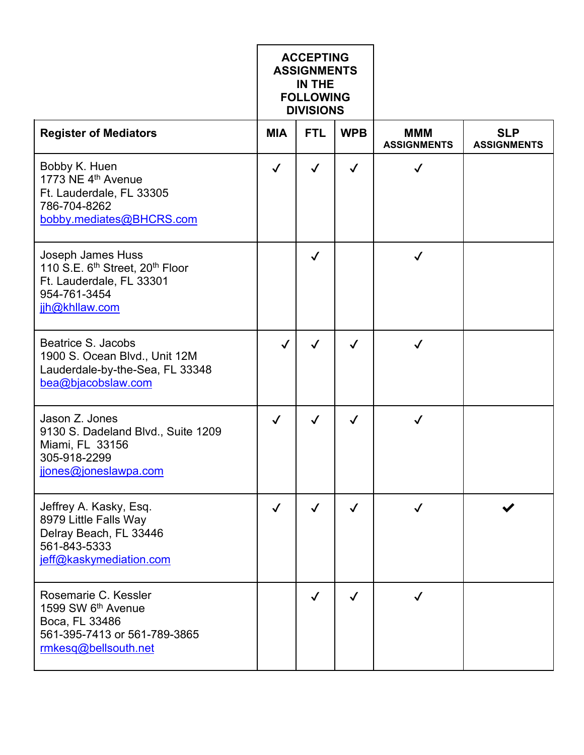|                                                                                                                                            | <b>ACCEPTING</b><br><b>ASSIGNMENTS</b><br><b>IN THE</b><br><b>FOLLOWING</b><br><b>DIVISIONS</b> |              |              |                                  |                                  |
|--------------------------------------------------------------------------------------------------------------------------------------------|-------------------------------------------------------------------------------------------------|--------------|--------------|----------------------------------|----------------------------------|
| <b>Register of Mediators</b>                                                                                                               | <b>MIA</b>                                                                                      | <b>FTL</b>   | <b>WPB</b>   | <b>MMM</b><br><b>ASSIGNMENTS</b> | <b>SLP</b><br><b>ASSIGNMENTS</b> |
| Bobby K. Huen<br>1773 NE 4 <sup>th</sup> Avenue<br>Ft. Lauderdale, FL 33305<br>786-704-8262<br>bobby.mediates@BHCRS.com                    | $\checkmark$                                                                                    | $\checkmark$ | $\checkmark$ | ✓                                |                                  |
| Joseph James Huss<br>110 S.E. 6 <sup>th</sup> Street, 20 <sup>th</sup> Floor<br>Ft. Lauderdale, FL 33301<br>954-761-3454<br>jjh@khllaw.com |                                                                                                 | $\checkmark$ |              | $\checkmark$                     |                                  |
| Beatrice S. Jacobs<br>1900 S. Ocean Blvd., Unit 12M<br>Lauderdale-by-the-Sea, FL 33348<br>bea@bjacobslaw.com                               | $\checkmark$                                                                                    | $\checkmark$ | $\checkmark$ | $\checkmark$                     |                                  |
| Jason Z. Jones<br>9130 S. Dadeland Blvd., Suite 1209<br>Miami, FL 33156<br>305-918-2299<br>jjones@joneslawpa.com                           | $\checkmark$                                                                                    | $\checkmark$ | $\checkmark$ | $\checkmark$                     |                                  |
| Jeffrey A. Kasky, Esq.<br>8979 Little Falls Way<br>Delray Beach, FL 33446<br>561-843-5333<br>jeff@kaskymediation.com                       | $\checkmark$                                                                                    | ✓            | $\checkmark$ |                                  |                                  |
| Rosemarie C. Kessler<br>1599 SW 6 <sup>th</sup> Avenue<br>Boca, FL 33486<br>561-395-7413 or 561-789-3865<br>rmkesq@bellsouth.net           |                                                                                                 | ✓            | ✓            |                                  |                                  |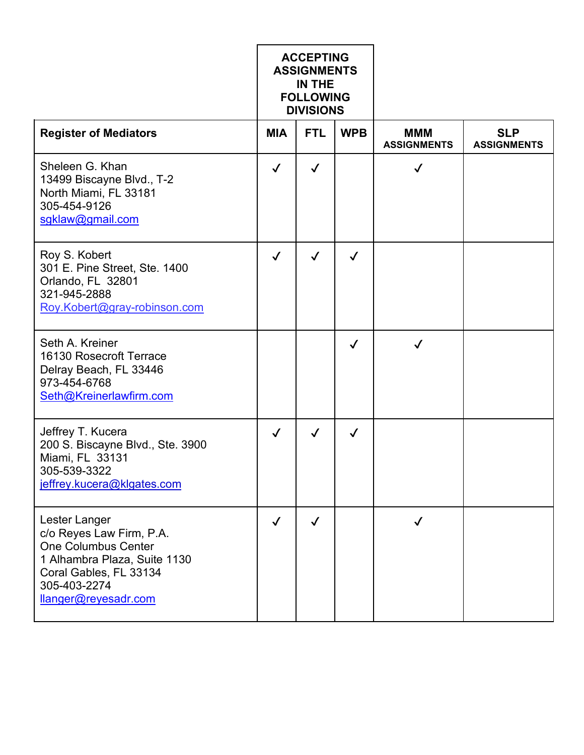|                                                                                                                                                                           | <b>ACCEPTING</b><br><b>ASSIGNMENTS</b><br>IN THE<br><b>FOLLOWING</b><br><b>DIVISIONS</b> |              |              |                                  |                                  |
|---------------------------------------------------------------------------------------------------------------------------------------------------------------------------|------------------------------------------------------------------------------------------|--------------|--------------|----------------------------------|----------------------------------|
| <b>Register of Mediators</b>                                                                                                                                              | <b>MIA</b>                                                                               | <b>FTL</b>   | <b>WPB</b>   | <b>MMM</b><br><b>ASSIGNMENTS</b> | <b>SLP</b><br><b>ASSIGNMENTS</b> |
| Sheleen G. Khan<br>13499 Biscayne Blvd., T-2<br>North Miami, FL 33181<br>305-454-9126<br>sgklaw@gmail.com                                                                 | $\checkmark$                                                                             | $\checkmark$ |              | $\checkmark$                     |                                  |
| Roy S. Kobert<br>301 E. Pine Street, Ste. 1400<br>Orlando, FL 32801<br>321-945-2888<br>Roy.Kobert@gray-robinson.com                                                       | $\checkmark$                                                                             | $\checkmark$ | $\checkmark$ |                                  |                                  |
| Seth A. Kreiner<br>16130 Rosecroft Terrace<br>Delray Beach, FL 33446<br>973-454-6768<br>Seth@Kreinerlawfirm.com                                                           |                                                                                          |              | $\checkmark$ | $\checkmark$                     |                                  |
| Jeffrey T. Kucera<br>200 S. Biscayne Blvd., Ste. 3900<br>Miami, FL 33131<br>305-539-3322<br>jeffrey.kucera@klgates.com                                                    | $\checkmark$                                                                             | $\checkmark$ | ✓            |                                  |                                  |
| Lester Langer<br>c/o Reyes Law Firm, P.A.<br><b>One Columbus Center</b><br>1 Alhambra Plaza, Suite 1130<br>Coral Gables, FL 33134<br>305-403-2274<br>llanger@reyesadr.com | $\checkmark$                                                                             | $\checkmark$ |              | ✓                                |                                  |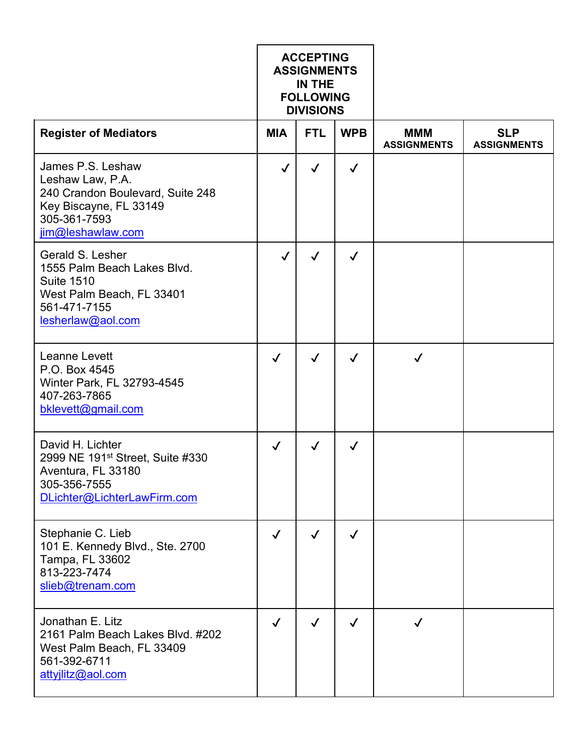|                                                                                                                                          | <b>ACCEPTING</b><br><b>ASSIGNMENTS</b><br>IN THE<br><b>FOLLOWING</b><br><b>DIVISIONS</b> |              |              |                                  |                                  |
|------------------------------------------------------------------------------------------------------------------------------------------|------------------------------------------------------------------------------------------|--------------|--------------|----------------------------------|----------------------------------|
| <b>Register of Mediators</b>                                                                                                             | <b>MIA</b>                                                                               | <b>FTL</b>   | <b>WPB</b>   | <b>MMM</b><br><b>ASSIGNMENTS</b> | <b>SLP</b><br><b>ASSIGNMENTS</b> |
| James P.S. Leshaw<br>Leshaw Law, P.A.<br>240 Crandon Boulevard, Suite 248<br>Key Biscayne, FL 33149<br>305-361-7593<br>jim@leshawlaw.com | $\checkmark$                                                                             | ✓            | $\checkmark$ |                                  |                                  |
| Gerald S. Lesher<br>1555 Palm Beach Lakes Blvd.<br><b>Suite 1510</b><br>West Palm Beach, FL 33401<br>561-471-7155<br>lesherlaw@aol.com   | $\checkmark$                                                                             | $\checkmark$ | $\checkmark$ |                                  |                                  |
| <b>Leanne Levett</b><br>P.O. Box 4545<br>Winter Park, FL 32793-4545<br>407-263-7865<br>bklevett@gmail.com                                | $\checkmark$                                                                             | $\checkmark$ | $\checkmark$ | $\checkmark$                     |                                  |
| David H. Lichter<br>2999 NE 191 <sup>st</sup> Street, Suite #330<br>Aventura, FL 33180<br>305-356-7555<br>DLichter@LichterLawFirm.com    | $\checkmark$                                                                             | ✓            | ✓            |                                  |                                  |
| Stephanie C. Lieb<br>101 E. Kennedy Blvd., Ste. 2700<br>Tampa, FL 33602<br>813-223-7474<br>slieb@trenam.com                              | $\checkmark$                                                                             | $\checkmark$ | $\checkmark$ |                                  |                                  |
| Jonathan E. Litz<br>2161 Palm Beach Lakes Blvd. #202<br>West Palm Beach, FL 33409<br>561-392-6711<br>attyjlitz@aol.com                   | $\checkmark$                                                                             |              | $\checkmark$ |                                  |                                  |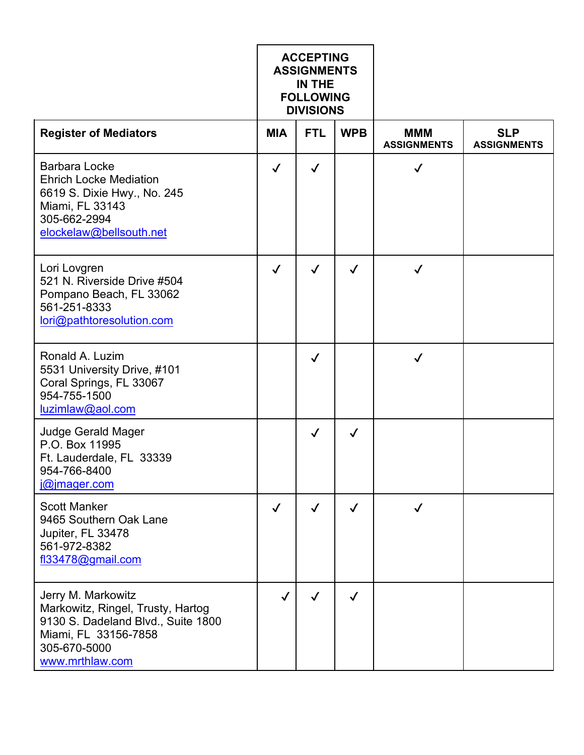|                                                                                                                                                          | <b>ACCEPTING</b><br><b>ASSIGNMENTS</b><br>IN THE<br><b>FOLLOWING</b><br><b>DIVISIONS</b> |              |              |                                  |                                  |
|----------------------------------------------------------------------------------------------------------------------------------------------------------|------------------------------------------------------------------------------------------|--------------|--------------|----------------------------------|----------------------------------|
| <b>Register of Mediators</b>                                                                                                                             | <b>MIA</b>                                                                               | <b>FTL</b>   | <b>WPB</b>   | <b>MMM</b><br><b>ASSIGNMENTS</b> | <b>SLP</b><br><b>ASSIGNMENTS</b> |
| <b>Barbara Locke</b><br><b>Ehrich Locke Mediation</b><br>6619 S. Dixie Hwy., No. 245<br>Miami, FL 33143<br>305-662-2994<br>elockelaw@bellsouth.net       | $\checkmark$                                                                             | $\checkmark$ |              | $\checkmark$                     |                                  |
| Lori Lovgren<br>521 N. Riverside Drive #504<br>Pompano Beach, FL 33062<br>561-251-8333<br>lori@pathtoresolution.com                                      | $\checkmark$                                                                             | $\checkmark$ | $\checkmark$ | ✓                                |                                  |
| Ronald A. Luzim<br>5531 University Drive, #101<br>Coral Springs, FL 33067<br>954-755-1500<br>luzimlaw@aol.com                                            |                                                                                          | $\checkmark$ |              | $\checkmark$                     |                                  |
| Judge Gerald Mager<br>P.O. Box 11995<br>Ft. Lauderdale, FL 33339<br>954-766-8400<br>$ @ $ mager.com                                                      |                                                                                          | $\checkmark$ | $\checkmark$ |                                  |                                  |
| <b>Scott Manker</b><br>9465 Southern Oak Lane<br>Jupiter, FL 33478<br>561-972-8382<br>fl33478@gmail.com                                                  | $\checkmark$                                                                             | $\checkmark$ | $\checkmark$ |                                  |                                  |
| Jerry M. Markowitz<br>Markowitz, Ringel, Trusty, Hartog<br>9130 S. Dadeland Blvd., Suite 1800<br>Miami, FL 33156-7858<br>305-670-5000<br>www.mrthlaw.com | $\checkmark$                                                                             | ✓            | $\checkmark$ |                                  |                                  |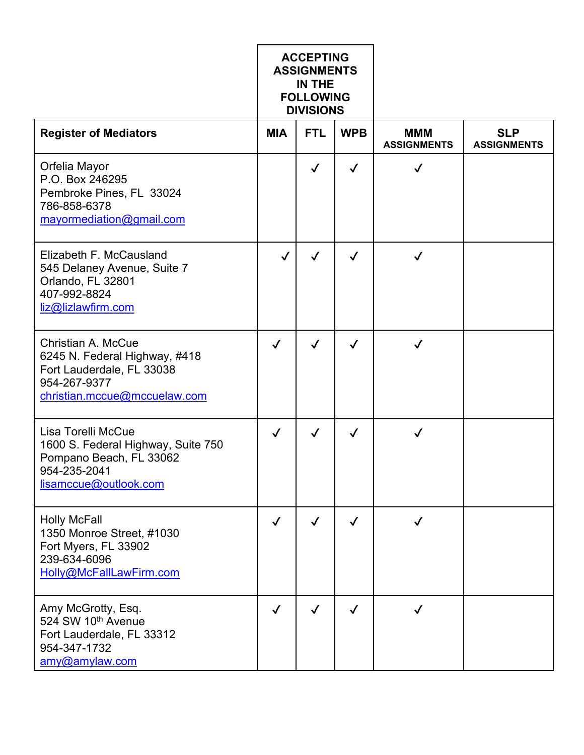|                                                                                                                                         | <b>ACCEPTING</b><br><b>ASSIGNMENTS</b><br>IN THE<br><b>FOLLOWING</b><br><b>DIVISIONS</b> |              |              |                                  |                                  |
|-----------------------------------------------------------------------------------------------------------------------------------------|------------------------------------------------------------------------------------------|--------------|--------------|----------------------------------|----------------------------------|
| <b>Register of Mediators</b>                                                                                                            | <b>MIA</b>                                                                               | <b>FTL</b>   | <b>WPB</b>   | <b>MMM</b><br><b>ASSIGNMENTS</b> | <b>SLP</b><br><b>ASSIGNMENTS</b> |
| Orfelia Mayor<br>P.O. Box 246295<br>Pembroke Pines, FL 33024<br>786-858-6378<br>mayormediation@gmail.com                                |                                                                                          | $\checkmark$ | $\checkmark$ | ✓                                |                                  |
| Elizabeth F. McCausland<br>545 Delaney Avenue, Suite 7<br>Orlando, FL 32801<br>407-992-8824<br>liz@lizlawfirm.com                       | $\checkmark$                                                                             | $\checkmark$ | $\checkmark$ | $\checkmark$                     |                                  |
| <b>Christian A. McCue</b><br>6245 N. Federal Highway, #418<br>Fort Lauderdale, FL 33038<br>954-267-9377<br>christian.mccue@mccuelaw.com | $\checkmark$                                                                             | $\checkmark$ | $\checkmark$ | $\checkmark$                     |                                  |
| Lisa Torelli McCue<br>1600 S. Federal Highway, Suite 750<br>Pompano Beach, FL 33062<br>954-235-2041<br>lisamccue@outlook.com            | $\checkmark$                                                                             | $\checkmark$ | ✓            |                                  |                                  |
| <b>Holly McFall</b><br>1350 Monroe Street, #1030<br>Fort Myers, FL 33902<br>239-634-6096<br>Holly@McFallLawFirm.com                     | $\checkmark$                                                                             | $\checkmark$ | $\checkmark$ | $\checkmark$                     |                                  |
| Amy McGrotty, Esq.<br>524 SW 10th Avenue<br>Fort Lauderdale, FL 33312<br>954-347-1732<br>amy@amylaw.com                                 | $\checkmark$                                                                             |              | $\checkmark$ | ✓                                |                                  |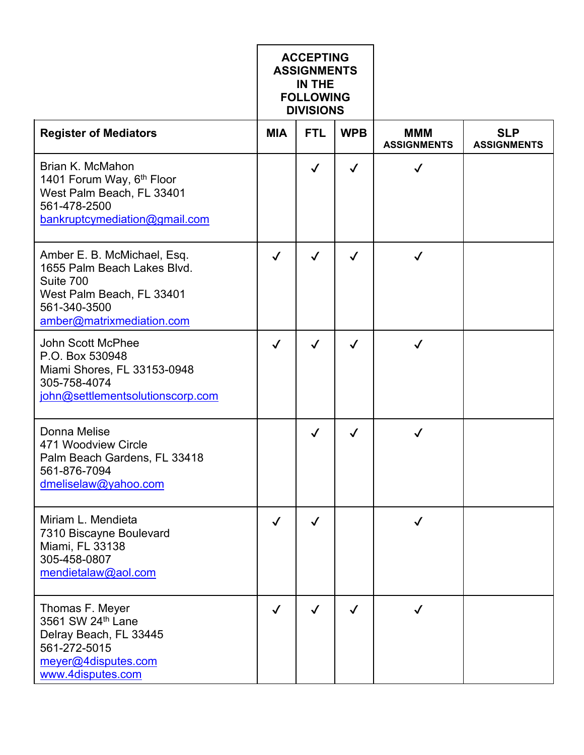|                                                                                                                                                   | <b>ACCEPTING</b><br><b>ASSIGNMENTS</b><br>IN THE<br><b>FOLLOWING</b><br><b>DIVISIONS</b> |              |              |                                  |                                  |
|---------------------------------------------------------------------------------------------------------------------------------------------------|------------------------------------------------------------------------------------------|--------------|--------------|----------------------------------|----------------------------------|
| <b>Register of Mediators</b>                                                                                                                      | <b>MIA</b>                                                                               | <b>FTL</b>   | <b>WPB</b>   | <b>MMM</b><br><b>ASSIGNMENTS</b> | <b>SLP</b><br><b>ASSIGNMENTS</b> |
| Brian K. McMahon<br>1401 Forum Way, 6 <sup>th</sup> Floor<br>West Palm Beach, FL 33401<br>561-478-2500<br>bankruptcymediation@gmail.com           |                                                                                          | $\checkmark$ | $\checkmark$ | $\checkmark$                     |                                  |
| Amber E. B. McMichael, Esq.<br>1655 Palm Beach Lakes Blvd.<br>Suite 700<br>West Palm Beach, FL 33401<br>561-340-3500<br>amber@matrixmediation.com | $\checkmark$                                                                             | $\checkmark$ | $\checkmark$ | $\checkmark$                     |                                  |
| <b>John Scott McPhee</b><br>P.O. Box 530948<br>Miami Shores, FL 33153-0948<br>305-758-4074<br>john@settlementsolutionscorp.com                    | $\checkmark$                                                                             | $\checkmark$ | $\checkmark$ | $\checkmark$                     |                                  |
| Donna Melise<br>471 Woodview Circle<br>Palm Beach Gardens, FL 33418<br>561-876-7094<br>dmeliselaw@yahoo.com                                       |                                                                                          | $\checkmark$ | $\checkmark$ | ✓                                |                                  |
| Miriam L. Mendieta<br>7310 Biscayne Boulevard<br>Miami, FL 33138<br>305-458-0807<br>mendietalaw@aol.com                                           | $\checkmark$                                                                             | $\checkmark$ |              | ✓                                |                                  |
| Thomas F. Meyer<br>3561 SW 24th Lane<br>Delray Beach, FL 33445<br>561-272-5015<br>meyer@4disputes.com<br>www.4disputes.com                        | $\checkmark$                                                                             |              | $\checkmark$ | $\checkmark$                     |                                  |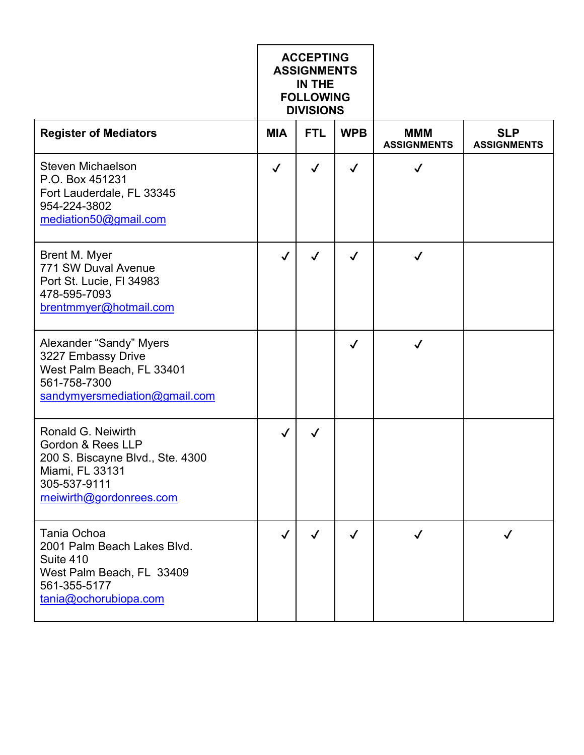|                                                                                                                                                       | <b>ACCEPTING</b><br><b>ASSIGNMENTS</b><br>IN THE<br><b>FOLLOWING</b><br><b>DIVISIONS</b> |              |              |                                  |                                  |
|-------------------------------------------------------------------------------------------------------------------------------------------------------|------------------------------------------------------------------------------------------|--------------|--------------|----------------------------------|----------------------------------|
| <b>Register of Mediators</b>                                                                                                                          | <b>MIA</b>                                                                               | <b>FTL</b>   | <b>WPB</b>   | <b>MMM</b><br><b>ASSIGNMENTS</b> | <b>SLP</b><br><b>ASSIGNMENTS</b> |
| Steven Michaelson<br>P.O. Box 451231<br>Fort Lauderdale, FL 33345<br>954-224-3802<br>mediation50@gmail.com                                            | $\checkmark$                                                                             | $\checkmark$ | $\checkmark$ | $\checkmark$                     |                                  |
| Brent M. Myer<br>771 SW Duval Avenue<br>Port St. Lucie, FI 34983<br>478-595-7093<br>brentmmyer@hotmail.com                                            | $\checkmark$                                                                             | $\checkmark$ | $\checkmark$ | $\checkmark$                     |                                  |
| Alexander "Sandy" Myers<br>3227 Embassy Drive<br>West Palm Beach, FL 33401<br>561-758-7300<br>sandymyersmediation@gmail.com                           |                                                                                          |              | $\checkmark$ | $\checkmark$                     |                                  |
| Ronald G. Neiwirth<br><b>Gordon &amp; Rees LLP</b><br>200 S. Biscayne Blvd., Ste. 4300<br>Miami, FL 33131<br>305-537-9111<br>rneiwirth@gordonrees.com | $\checkmark$                                                                             | ✓            |              |                                  |                                  |
| Tania Ochoa<br>2001 Palm Beach Lakes Blvd.<br>Suite 410<br>West Palm Beach, FL 33409<br>561-355-5177<br>tania@ochorubiopa.com                         | $\checkmark$                                                                             | $\checkmark$ | $\checkmark$ | $\checkmark$                     | $\checkmark$                     |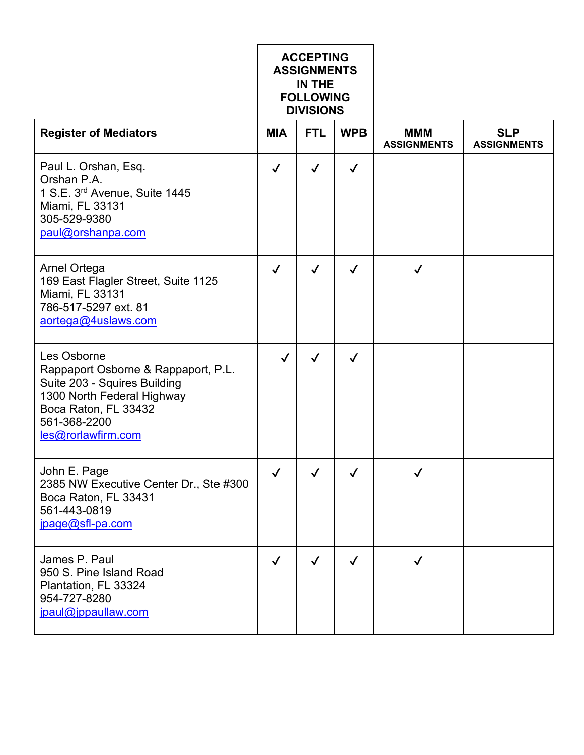|                                                                                                                                                                                | <b>ACCEPTING</b><br><b>ASSIGNMENTS</b><br><b>IN THE</b><br><b>FOLLOWING</b><br><b>DIVISIONS</b> |              |              |                                  |                                  |
|--------------------------------------------------------------------------------------------------------------------------------------------------------------------------------|-------------------------------------------------------------------------------------------------|--------------|--------------|----------------------------------|----------------------------------|
| <b>Register of Mediators</b>                                                                                                                                                   | <b>MIA</b>                                                                                      | <b>FTL</b>   | <b>WPB</b>   | <b>MMM</b><br><b>ASSIGNMENTS</b> | <b>SLP</b><br><b>ASSIGNMENTS</b> |
| Paul L. Orshan, Esq.<br>Orshan P.A.<br>1 S.E. 3 <sup>rd</sup> Avenue, Suite 1445<br>Miami, FL 33131<br>305-529-9380<br>paul@orshanpa.com                                       | $\checkmark$                                                                                    | $\checkmark$ | $\checkmark$ |                                  |                                  |
| <b>Arnel Ortega</b><br>169 East Flagler Street, Suite 1125<br>Miami, FL 33131<br>786-517-5297 ext. 81<br>aortega@4uslaws.com                                                   | $\checkmark$                                                                                    | $\checkmark$ | $\checkmark$ | ✓                                |                                  |
| Les Osborne<br>Rappaport Osborne & Rappaport, P.L.<br>Suite 203 - Squires Building<br>1300 North Federal Highway<br>Boca Raton, FL 33432<br>561-368-2200<br>les@rorlawfirm.com | $\checkmark$                                                                                    | $\checkmark$ | $\checkmark$ |                                  |                                  |
| John E. Page<br>2385 NW Executive Center Dr., Ste #300<br>Boca Raton, FL 33431<br>561-443-0819<br>jpage@sfl-pa.com                                                             | $\checkmark$                                                                                    | $\sqrt{2}$   | $\checkmark$ | $\checkmark$                     |                                  |
| James P. Paul<br>950 S. Pine Island Road<br>Plantation, FL 33324<br>954-727-8280<br>jpaul@jppaullaw.com                                                                        | $\checkmark$                                                                                    | $\checkmark$ | $\checkmark$ | ✓                                |                                  |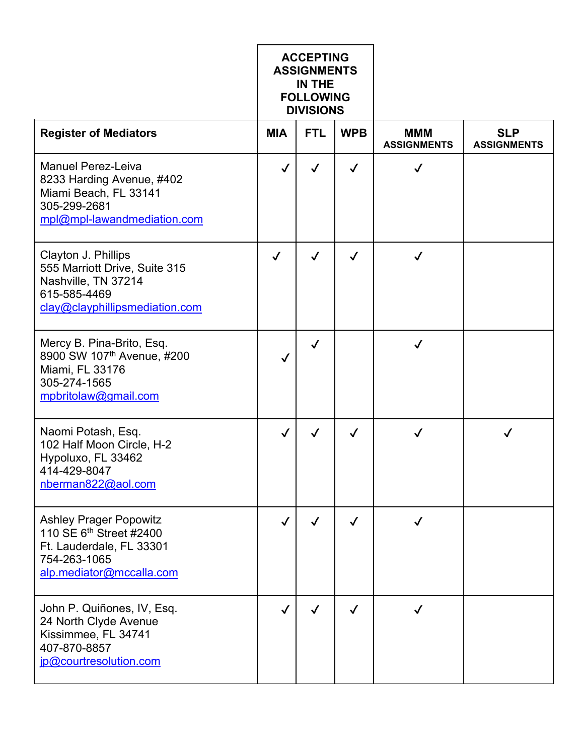|                                                                                                                                              | <b>ACCEPTING</b><br><b>ASSIGNMENTS</b><br>IN THE<br><b>FOLLOWING</b><br><b>DIVISIONS</b> |              |              |                                  |                                  |
|----------------------------------------------------------------------------------------------------------------------------------------------|------------------------------------------------------------------------------------------|--------------|--------------|----------------------------------|----------------------------------|
| <b>Register of Mediators</b>                                                                                                                 | <b>MIA</b>                                                                               | <b>FTL</b>   | <b>WPB</b>   | <b>MMM</b><br><b>ASSIGNMENTS</b> | <b>SLP</b><br><b>ASSIGNMENTS</b> |
| <b>Manuel Perez-Leiva</b><br>8233 Harding Avenue, #402<br>Miami Beach, FL 33141<br>305-299-2681<br>mpl@mpl-lawandmediation.com               | $\checkmark$                                                                             | $\checkmark$ | $\checkmark$ | $\checkmark$                     |                                  |
| Clayton J. Phillips<br>555 Marriott Drive, Suite 315<br>Nashville, TN 37214<br>615-585-4469<br>clay@clayphillipsmediation.com                | $\checkmark$                                                                             | $\checkmark$ | $\checkmark$ |                                  |                                  |
| Mercy B. Pina-Brito, Esq.<br>8900 SW 107th Avenue, #200<br>Miami, FL 33176<br>305-274-1565<br>mpbritolaw@gmail.com                           | ✓                                                                                        | $\checkmark$ |              | $\checkmark$                     |                                  |
| Naomi Potash, Esq.<br>102 Half Moon Circle, H-2<br>Hypoluxo, FL 33462<br>414-429-8047<br>nberman822@aol.com                                  | $\checkmark$                                                                             | ✓            | ✓            |                                  |                                  |
| <b>Ashley Prager Popowitz</b><br>110 SE 6 <sup>th</sup> Street #2400<br>Ft. Lauderdale, FL 33301<br>754-263-1065<br>alp.mediator@mccalla.com | $\checkmark$                                                                             | $\checkmark$ | $\checkmark$ | $\checkmark$                     |                                  |
| John P. Quiñones, IV, Esq.<br>24 North Clyde Avenue<br>Kissimmee, FL 34741<br>407-870-8857<br>jp@courtresolution.com                         | $\checkmark$                                                                             | ✓            | $\checkmark$ |                                  |                                  |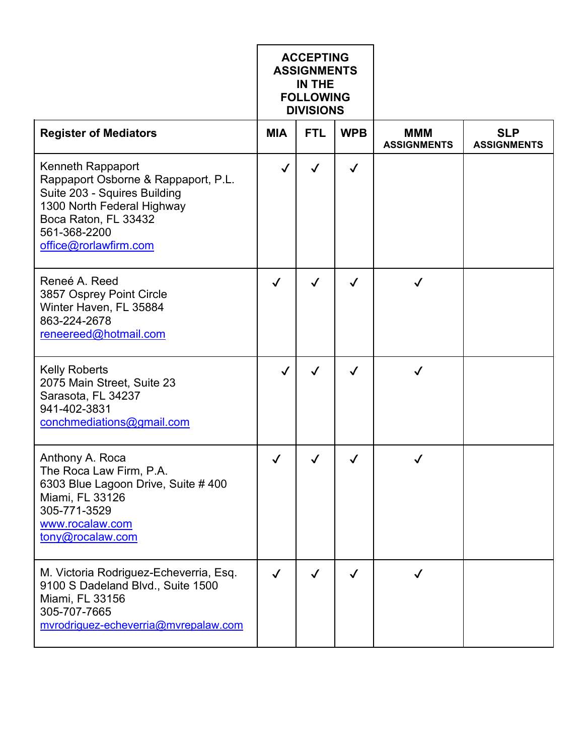|                                                                                                                                                                                         | <b>ACCEPTING</b><br><b>ASSIGNMENTS</b><br>IN THE<br><b>FOLLOWING</b><br><b>DIVISIONS</b> |              |              |                                  |                                  |
|-----------------------------------------------------------------------------------------------------------------------------------------------------------------------------------------|------------------------------------------------------------------------------------------|--------------|--------------|----------------------------------|----------------------------------|
| <b>Register of Mediators</b>                                                                                                                                                            | <b>MIA</b>                                                                               | <b>FTL</b>   | <b>WPB</b>   | <b>MMM</b><br><b>ASSIGNMENTS</b> | <b>SLP</b><br><b>ASSIGNMENTS</b> |
| Kenneth Rappaport<br>Rappaport Osborne & Rappaport, P.L.<br>Suite 203 - Squires Building<br>1300 North Federal Highway<br>Boca Raton, FL 33432<br>561-368-2200<br>office@rorlawfirm.com | ✓                                                                                        | ✓            | $\checkmark$ |                                  |                                  |
| Reneé A. Reed<br>3857 Osprey Point Circle<br>Winter Haven, FL 35884<br>863-224-2678<br>reneereed@hotmail.com                                                                            | $\checkmark$                                                                             | ✓            | ✓            | ✓                                |                                  |
| <b>Kelly Roberts</b><br>2075 Main Street, Suite 23<br>Sarasota, FL 34237<br>941-402-3831<br>conchmediations@gmail.com                                                                   | $\checkmark$                                                                             | $\checkmark$ | $\checkmark$ | $\checkmark$                     |                                  |
| Anthony A. Roca<br>The Roca Law Firm, P.A.<br>6303 Blue Lagoon Drive, Suite # 400<br>Miami, FL 33126<br>305-771-3529<br>www.rocalaw.com<br>tony@rocalaw.com                             | $\checkmark$                                                                             | ✓            | $\checkmark$ | ✓                                |                                  |
| M. Victoria Rodriguez-Echeverria, Esq.<br>9100 S Dadeland Blvd., Suite 1500<br>Miami, FL 33156<br>305-707-7665<br>mvrodriguez-echeverria@mvrepalaw.com                                  | $\checkmark$                                                                             | ✓            | $\checkmark$ | ✓                                |                                  |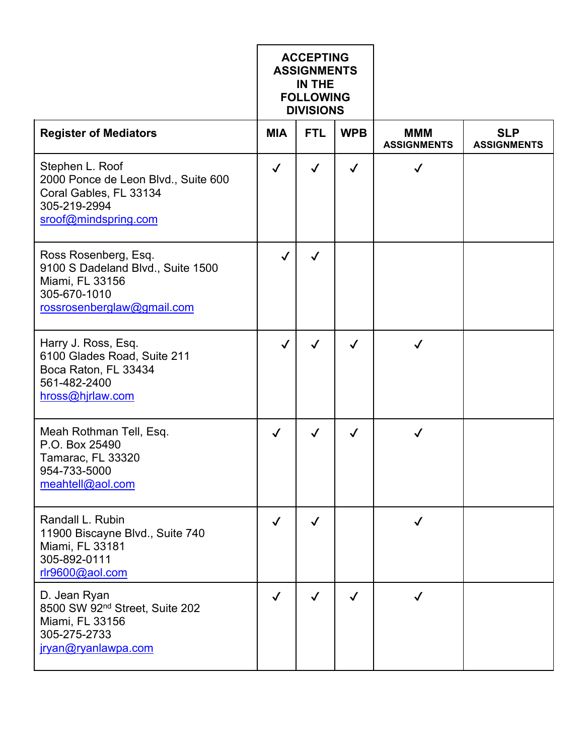|                                                                                                                            | <b>ACCEPTING</b><br><b>ASSIGNMENTS</b><br>IN THE<br><b>FOLLOWING</b><br><b>DIVISIONS</b> |              |              |                                  |                                  |
|----------------------------------------------------------------------------------------------------------------------------|------------------------------------------------------------------------------------------|--------------|--------------|----------------------------------|----------------------------------|
| <b>Register of Mediators</b>                                                                                               | <b>MIA</b>                                                                               | <b>FTL</b>   | <b>WPB</b>   | <b>MMM</b><br><b>ASSIGNMENTS</b> | <b>SLP</b><br><b>ASSIGNMENTS</b> |
| Stephen L. Roof<br>2000 Ponce de Leon Blvd., Suite 600<br>Coral Gables, FL 33134<br>305-219-2994<br>sroof@mindspring.com   | $\checkmark$                                                                             | ✓            | $\checkmark$ | $\checkmark$                     |                                  |
| Ross Rosenberg, Esq.<br>9100 S Dadeland Blvd., Suite 1500<br>Miami, FL 33156<br>305-670-1010<br>rossrosenberglaw@gmail.com | $\checkmark$                                                                             | ✓            |              |                                  |                                  |
| Harry J. Ross, Esq.<br>6100 Glades Road, Suite 211<br>Boca Raton, FL 33434<br>561-482-2400<br>hross@hjrlaw.com             | $\checkmark$                                                                             | $\checkmark$ | $\checkmark$ | $\checkmark$                     |                                  |
| Meah Rothman Tell, Esq.<br>P.O. Box 25490<br>Tamarac, FL 33320<br>954-733-5000<br>meahtell@aol.com                         | $\checkmark$                                                                             | $\checkmark$ | ✓            |                                  |                                  |
| Randall L. Rubin<br>11900 Biscayne Blvd., Suite 740<br>Miami, FL 33181<br>305-892-0111<br>rlr9600@aol.com                  | $\checkmark$                                                                             | $\checkmark$ |              | √                                |                                  |
| D. Jean Ryan<br>8500 SW 92 <sup>nd</sup> Street, Suite 202<br>Miami, FL 33156<br>305-275-2733<br>jryan@ryanlawpa.com       |                                                                                          | ✓            | $\checkmark$ |                                  |                                  |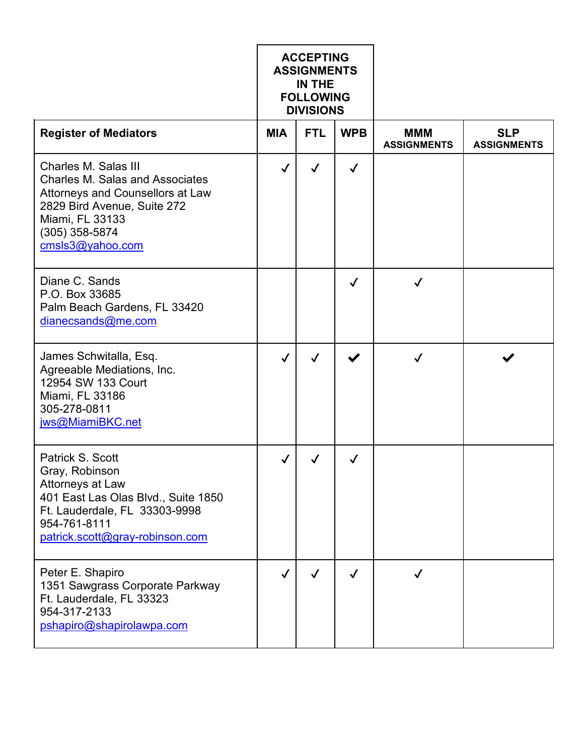|                                                                                                                                                                                              | <b>ACCEPTING</b><br><b>ASSIGNMENTS</b><br>IN THE<br><b>FOLLOWING</b><br><b>DIVISIONS</b> |              |              |                                  |                                  |
|----------------------------------------------------------------------------------------------------------------------------------------------------------------------------------------------|------------------------------------------------------------------------------------------|--------------|--------------|----------------------------------|----------------------------------|
| <b>Register of Mediators</b>                                                                                                                                                                 | <b>MIA</b>                                                                               | <b>FTL</b>   | <b>WPB</b>   | <b>MMM</b><br><b>ASSIGNMENTS</b> | <b>SLP</b><br><b>ASSIGNMENTS</b> |
| Charles M. Salas III<br><b>Charles M. Salas and Associates</b><br>Attorneys and Counsellors at Law<br>2829 Bird Avenue, Suite 272<br>Miami, FL 33133<br>$(305)$ 358-5874<br>cmsls3@yahoo.com | $\checkmark$                                                                             | $\checkmark$ | $\checkmark$ |                                  |                                  |
| Diane C. Sands<br>P.O. Box 33685<br>Palm Beach Gardens, FL 33420<br>dianecsands@me.com                                                                                                       |                                                                                          |              | $\checkmark$ | $\bm{\mathcal{J}}$               |                                  |
| James Schwitalla, Esq.<br>Agreeable Mediations, Inc.<br>12954 SW 133 Court<br>Miami, FL 33186<br>305-278-0811<br>jws@MiamiBKC.net                                                            | $\checkmark$                                                                             | $\checkmark$ |              | $\checkmark$                     |                                  |
| Patrick S. Scott<br>Gray, Robinson<br>Attorneys at Law<br>401 East Las Olas Blvd., Suite 1850<br>Ft. Lauderdale, FL 33303-9998<br>954-761-8111<br>patrick.scott@gray-robinson.com            | √                                                                                        |              | ✓            |                                  |                                  |
| Peter E. Shapiro<br>1351 Sawgrass Corporate Parkway<br>Ft. Lauderdale, FL 33323<br>954-317-2133<br>pshapiro@shapirolawpa.com                                                                 | $\checkmark$                                                                             | ✓            | $\checkmark$ | ✓                                |                                  |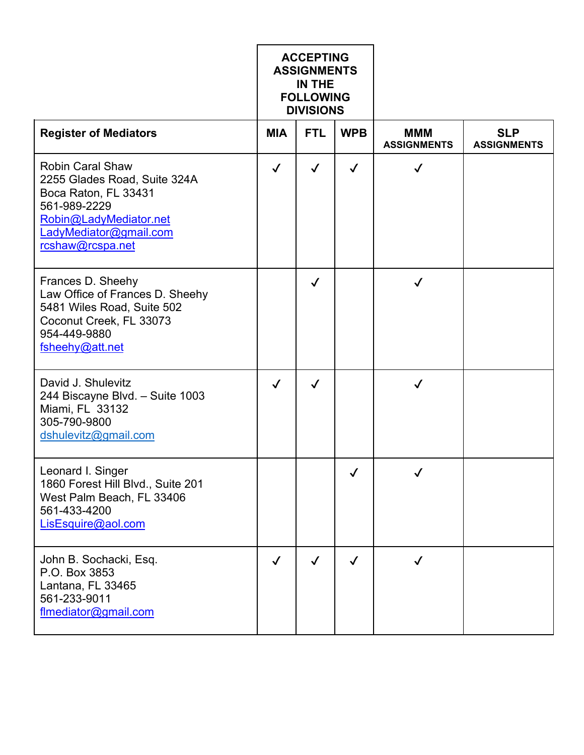|                                                                                                                                                                         | <b>ACCEPTING</b><br><b>ASSIGNMENTS</b><br>IN THE<br><b>FOLLOWING</b><br><b>DIVISIONS</b> |              |              |                                  |                                  |
|-------------------------------------------------------------------------------------------------------------------------------------------------------------------------|------------------------------------------------------------------------------------------|--------------|--------------|----------------------------------|----------------------------------|
| <b>Register of Mediators</b>                                                                                                                                            | <b>MIA</b>                                                                               | <b>FTL</b>   | <b>WPB</b>   | <b>MMM</b><br><b>ASSIGNMENTS</b> | <b>SLP</b><br><b>ASSIGNMENTS</b> |
| <b>Robin Caral Shaw</b><br>2255 Glades Road, Suite 324A<br>Boca Raton, FL 33431<br>561-989-2229<br>Robin@LadyMediator.net<br>LadyMediator@gmail.com<br>rcshaw@rcspa.net | $\checkmark$                                                                             | $\checkmark$ | $\checkmark$ | $\checkmark$                     |                                  |
| Frances D. Sheehy<br>Law Office of Frances D. Sheehy<br>5481 Wiles Road, Suite 502<br>Coconut Creek, FL 33073<br>954-449-9880<br>fsheehy@att.net                        |                                                                                          | $\checkmark$ |              | $\checkmark$                     |                                  |
| David J. Shulevitz<br>244 Biscayne Blvd. - Suite 1003<br>Miami, FL 33132<br>305-790-9800<br>dshulevitz@gmail.com                                                        | $\checkmark$                                                                             | $\checkmark$ |              | ✓                                |                                  |
| Leonard I. Singer<br>1860 Forest Hill Blvd., Suite 201<br>West Palm Beach, FL 33406<br>561-433-4200<br>LisEsquire@aol.com                                               |                                                                                          |              | $\checkmark$ | $\checkmark$                     |                                  |
| John B. Sochacki, Esq.<br>P.O. Box 3853<br>Lantana, FL 33465<br>561-233-9011<br>flmediator@gmail.com                                                                    | $\checkmark$                                                                             | $\checkmark$ | $\checkmark$ | ✓                                |                                  |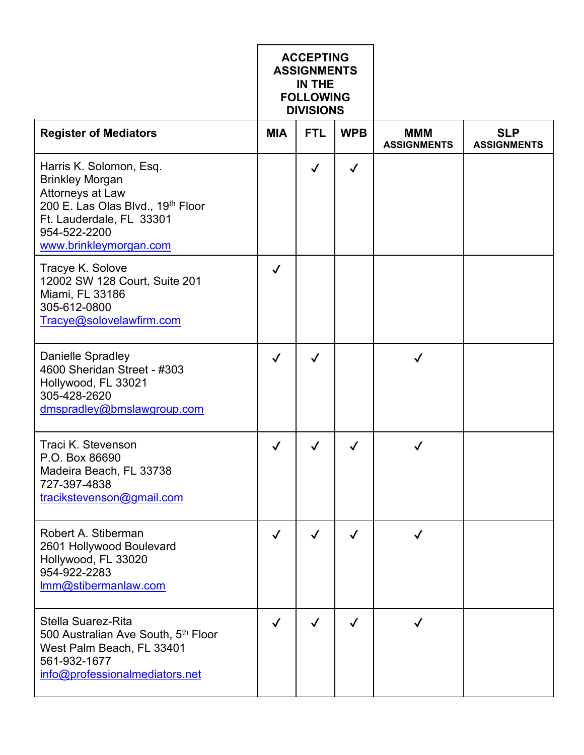|                                                                                                                                                                                  | <b>ACCEPTING</b><br><b>ASSIGNMENTS</b><br>IN THE<br><b>FOLLOWING</b><br><b>DIVISIONS</b> |              |              |                                  |                                  |
|----------------------------------------------------------------------------------------------------------------------------------------------------------------------------------|------------------------------------------------------------------------------------------|--------------|--------------|----------------------------------|----------------------------------|
| <b>Register of Mediators</b>                                                                                                                                                     | <b>MIA</b>                                                                               | <b>FTL</b>   | <b>WPB</b>   | <b>MMM</b><br><b>ASSIGNMENTS</b> | <b>SLP</b><br><b>ASSIGNMENTS</b> |
| Harris K. Solomon, Esq.<br><b>Brinkley Morgan</b><br>Attorneys at Law<br>200 E. Las Olas Blvd., 19th Floor<br>Ft. Lauderdale, FL 33301<br>954-522-2200<br>www.brinkleymorgan.com |                                                                                          | $\checkmark$ | $\checkmark$ |                                  |                                  |
| Tracye K. Solove<br>12002 SW 128 Court, Suite 201<br>Miami, FL 33186<br>305-612-0800<br>Tracye@solovelawfirm.com                                                                 | $\checkmark$                                                                             |              |              |                                  |                                  |
| <b>Danielle Spradley</b><br>4600 Sheridan Street - #303<br>Hollywood, FL 33021<br>305-428-2620<br>dmspradley@bmslawgroup.com                                                     | $\checkmark$                                                                             | $\checkmark$ |              | $\checkmark$                     |                                  |
| Traci K. Stevenson<br>P.O. Box 86690<br>Madeira Beach, FL 33738<br>727-397-4838<br>tracikstevenson@gmail.com                                                                     | $\checkmark$                                                                             | $\checkmark$ | ✓            | ✓                                |                                  |
| Robert A. Stiberman<br>2601 Hollywood Boulevard<br>Hollywood, FL 33020<br>954-922-2283<br>Imm@stibermanlaw.com                                                                   | $\checkmark$                                                                             | $\checkmark$ | $\checkmark$ | $\checkmark$                     |                                  |
| Stella Suarez-Rita<br>500 Australian Ave South, 5th Floor<br>West Palm Beach, FL 33401<br>561-932-1677<br>info@professionalmediators.net                                         | $\checkmark$                                                                             | ✓            | $\checkmark$ | ✓                                |                                  |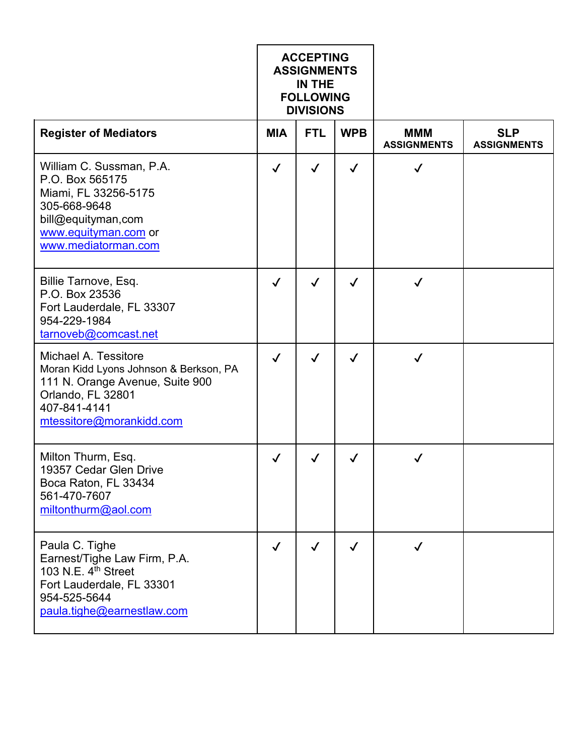|                                                                                                                                                                    | <b>ACCEPTING</b><br><b>ASSIGNMENTS</b><br>IN THE<br><b>FOLLOWING</b><br><b>DIVISIONS</b> |              |              |                                  |                                  |
|--------------------------------------------------------------------------------------------------------------------------------------------------------------------|------------------------------------------------------------------------------------------|--------------|--------------|----------------------------------|----------------------------------|
| <b>Register of Mediators</b>                                                                                                                                       | <b>MIA</b>                                                                               | <b>FTL</b>   | <b>WPB</b>   | <b>MMM</b><br><b>ASSIGNMENTS</b> | <b>SLP</b><br><b>ASSIGNMENTS</b> |
| William C. Sussman, P.A.<br>P.O. Box 565175<br>Miami, FL 33256-5175<br>305-668-9648<br>bill@equityman,com<br>www.equityman.com or<br>www.mediatorman.com           | $\checkmark$                                                                             | $\checkmark$ | $\checkmark$ | $\checkmark$                     |                                  |
| Billie Tarnove, Esq.<br>P.O. Box 23536<br>Fort Lauderdale, FL 33307<br>954-229-1984<br>tarnoveb@comcast.net                                                        | $\checkmark$                                                                             | $\checkmark$ | $\checkmark$ | $\checkmark$                     |                                  |
| Michael A. Tessitore<br>Moran Kidd Lyons Johnson & Berkson, PA<br>111 N. Orange Avenue, Suite 900<br>Orlando, FL 32801<br>407-841-4141<br>mtessitore@morankidd.com | $\checkmark$                                                                             | $\checkmark$ | $\checkmark$ | $\checkmark$                     |                                  |
| Milton Thurm, Esq.<br>19357 Cedar Glen Drive<br>Boca Raton, FL 33434<br>561-470-7607<br>miltonthurm@aol.com                                                        | $\checkmark$                                                                             | ✓            | ✓            |                                  |                                  |
| Paula C. Tighe<br>Earnest/Tighe Law Firm, P.A.<br>103 N.E. 4 <sup>th</sup> Street<br>Fort Lauderdale, FL 33301<br>954-525-5644<br>paula.tighe@earnestlaw.com       | $\checkmark$                                                                             | $\checkmark$ | $\checkmark$ | $\checkmark$                     |                                  |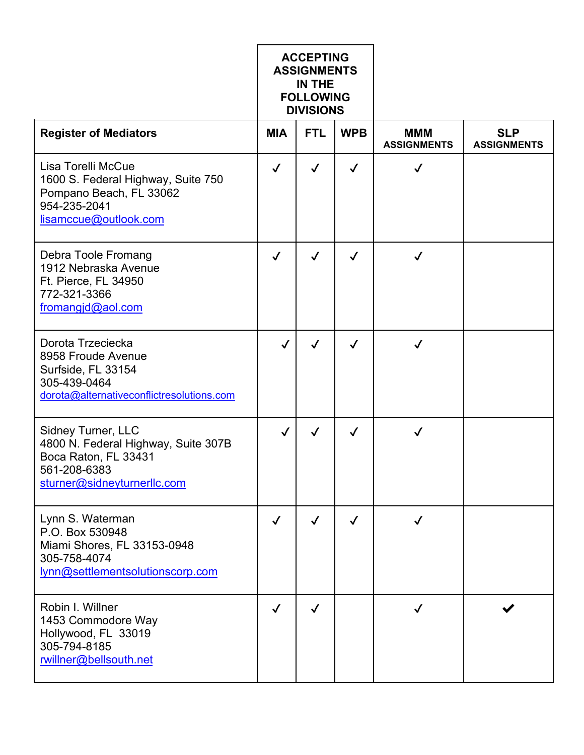|                                                                                                                                  | <b>ACCEPTING</b><br><b>ASSIGNMENTS</b><br>IN THE<br><b>FOLLOWING</b><br><b>DIVISIONS</b> |              |              |                                  |                                  |
|----------------------------------------------------------------------------------------------------------------------------------|------------------------------------------------------------------------------------------|--------------|--------------|----------------------------------|----------------------------------|
| <b>Register of Mediators</b>                                                                                                     | <b>MIA</b>                                                                               | <b>FTL</b>   | <b>WPB</b>   | <b>MMM</b><br><b>ASSIGNMENTS</b> | <b>SLP</b><br><b>ASSIGNMENTS</b> |
| Lisa Torelli McCue<br>1600 S. Federal Highway, Suite 750<br>Pompano Beach, FL 33062<br>954-235-2041<br>lisamccue@outlook.com     | $\checkmark$                                                                             | $\checkmark$ | $\checkmark$ | $\checkmark$                     |                                  |
| Debra Toole Fromang<br>1912 Nebraska Avenue<br>Ft. Pierce, FL 34950<br>772-321-3366<br>fromangid@aol.com                         | $\checkmark$                                                                             | $\checkmark$ | $\checkmark$ | $\checkmark$                     |                                  |
| Dorota Trzeciecka<br>8958 Froude Avenue<br>Surfside, FL 33154<br>305-439-0464<br>dorota@alternativeconflictresolutions.com       | $\checkmark$                                                                             | $\checkmark$ | $\checkmark$ | $\checkmark$                     |                                  |
| Sidney Turner, LLC<br>4800 N. Federal Highway, Suite 307B<br>Boca Raton, FL 33431<br>561-208-6383<br>sturner@sidneyturnerllc.com | $\checkmark$                                                                             | $\checkmark$ | $\checkmark$ | $\checkmark$                     |                                  |
| Lynn S. Waterman<br>P.O. Box 530948<br>Miami Shores, FL 33153-0948<br>305-758-4074<br>lynn@settlementsolutionscorp.com           | $\checkmark$                                                                             | $\checkmark$ | $\checkmark$ | √                                |                                  |
| Robin I. Willner<br>1453 Commodore Way<br>Hollywood, FL 33019<br>305-794-8185<br>rwillner@bellsouth.net                          | $\checkmark$                                                                             | $\checkmark$ |              | $\checkmark$                     |                                  |